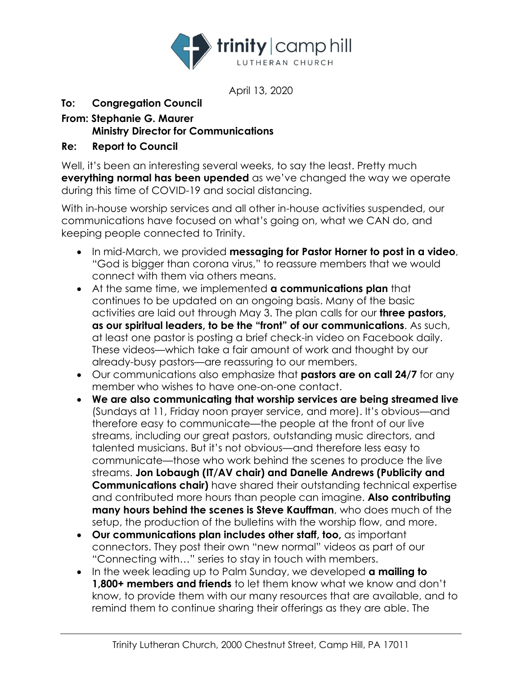

April 13, 2020

## **To: Congregation Council**

## **From: Stephanie G. Maurer Ministry Director for Communications**

## **Re: Report to Council**

Well, it's been an interesting several weeks, to say the least. Pretty much **everything normal has been upended** as we've changed the way we operate during this time of COVID-19 and social distancing.

With in-house worship services and all other in-house activities suspended, our communications have focused on what's going on, what we CAN do, and keeping people connected to Trinity.

- In mid-March, we provided **messaging for Pastor Horner to post in a video**, "God is bigger than corona virus," to reassure members that we would connect with them via others means.
- At the same time, we implemented **a communications plan** that continues to be updated on an ongoing basis. Many of the basic activities are laid out through May 3. The plan calls for our **three pastors, as our spiritual leaders, to be the "front" of our communications**. As such, at least one pastor is posting a brief check-in video on Facebook daily. These videos—which take a fair amount of work and thought by our already-busy pastors—are reassuring to our members.
- Our communications also emphasize that **pastors are on call 24/7** for any member who wishes to have one-on-one contact.
- **We are also communicating that worship services are being streamed live**  (Sundays at 11, Friday noon prayer service, and more). It's obvious—and therefore easy to communicate—the people at the front of our live streams, including our great pastors, outstanding music directors, and talented musicians. But it's not obvious—and therefore less easy to communicate—those who work behind the scenes to produce the live streams. **Jon Lobaugh (IT/AV chair) and Danelle Andrews (Publicity and Communications chair)** have shared their outstanding technical expertise and contributed more hours than people can imagine. **Also contributing many hours behind the scenes is Steve Kauffman**, who does much of the setup, the production of the bulletins with the worship flow, and more.
- **Our communications plan includes other staff, too,** as important connectors. They post their own "new normal" videos as part of our "Connecting with…" series to stay in touch with members.
- In the week leading up to Palm Sunday, we developed **a mailing to 1,800+ members and friends** to let them know what we know and don't know, to provide them with our many resources that are available, and to remind them to continue sharing their offerings as they are able. The